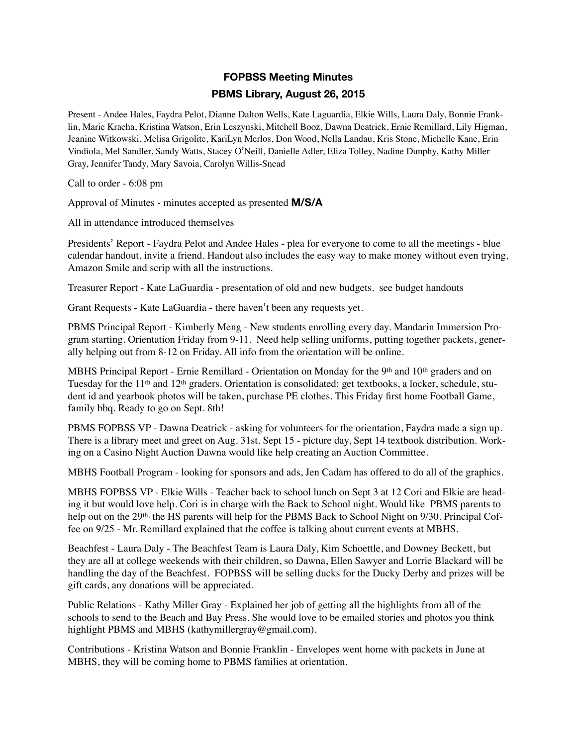## **FOPBSS Meeting Minutes PBMS Library, August 26, 2015**

Present - Andee Hales, Faydra Pelot, Dianne Dalton Wells, Kate Laguardia, Elkie Wills, Laura Daly, Bonnie Franklin, Marie Kracha, Kristina Watson, Erin Leszynski, Mitchell Booz, Dawna Deatrick, Ernie Remillard, Lily Higman, Jeanine Witkowski, Melisa Grigolite, KariLyn Merlos, Don Wood, Nella Landau, Kris Stone, Michelle Kane, Erin Vindiola, Mel Sandler, Sandy Watts, Stacey O'Neill, Danielle Adler, Eliza Tolley, Nadine Dunphy, Kathy Miller Gray, Jennifer Tandy, Mary Savoia, Carolyn Willis-Snead

Call to order - 6:08 pm

Approval of Minutes - minutes accepted as presented **M/S/A**

All in attendance introduced themselves

Presidents' Report - Faydra Pelot and Andee Hales - plea for everyone to come to all the meetings - blue calendar handout, invite a friend. Handout also includes the easy way to make money without even trying, Amazon Smile and scrip with all the instructions.

Treasurer Report - Kate LaGuardia - presentation of old and new budgets. see budget handouts

Grant Requests - Kate LaGuardia - there haven't been any requests yet.

PBMS Principal Report - Kimberly Meng - New students enrolling every day. Mandarin Immersion Program starting. Orientation Friday from 9-11. Need help selling uniforms, putting together packets, generally helping out from 8-12 on Friday. All info from the orientation will be online.

MBHS Principal Report - Ernie Remillard - Orientation on Monday for the 9<sup>th</sup> and 10<sup>th</sup> graders and on Tuesday for the 11th and 12th graders. Orientation is consolidated: get textbooks, a locker, schedule, student id and yearbook photos will be taken, purchase PE clothes. This Friday first home Football Game, family bbq. Ready to go on Sept. 8th!

PBMS FOPBSS VP - Dawna Deatrick - asking for volunteers for the orientation, Faydra made a sign up. There is a library meet and greet on Aug. 31st. Sept 15 - picture day, Sept 14 textbook distribution. Working on a Casino Night Auction Dawna would like help creating an Auction Committee.

MBHS Football Program - looking for sponsors and ads, Jen Cadam has offered to do all of the graphics.

MBHS FOPBSS VP - Elkie Wills - Teacher back to school lunch on Sept 3 at 12 Cori and Elkie are heading it but would love help. Cori is in charge with the Back to School night. Would like PBMS parents to help out on the 29<sup>th,</sup> the HS parents will help for the PBMS Back to School Night on 9/30. Principal Coffee on 9/25 - Mr. Remillard explained that the coffee is talking about current events at MBHS.

Beachfest - Laura Daly - The Beachfest Team is Laura Daly, Kim Schoettle, and Downey Beckett, but they are all at college weekends with their children, so Dawna, Ellen Sawyer and Lorrie Blackard will be handling the day of the Beachfest. FOPBSS will be selling ducks for the Ducky Derby and prizes will be gift cards, any donations will be appreciated.

Public Relations - Kathy Miller Gray - Explained her job of getting all the highlights from all of the schools to send to the Beach and Bay Press. She would love to be emailed stories and photos you think highlight PBMS and MBHS (kathymillergray@gmail.com).

Contributions - Kristina Watson and Bonnie Franklin - Envelopes went home with packets in June at MBHS, they will be coming home to PBMS families at orientation.